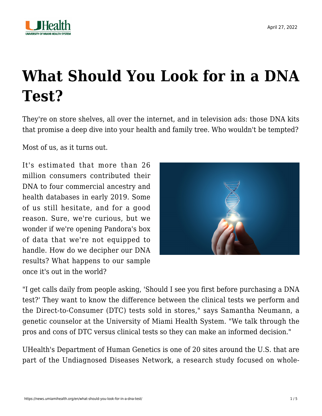

## **[What Should You Look for in a DNA](https://news.umiamihealth.org/en/what-should-you-look-for-in-a-dna-test/) [Test?](https://news.umiamihealth.org/en/what-should-you-look-for-in-a-dna-test/)**

They're on store shelves, all over the internet, and in television ads: those DNA kits that promise a deep dive into your health and family tree. Who wouldn't be tempted?

Most of us, as it turns out.

It's estimated that more than 26 million consumers contributed their DNA to four commercial ancestry and health databases in early 2019. Some of us still hesitate, and for a good reason. Sure, we're curious, but we wonder if we're opening Pandora's box of data that we're not equipped to handle. How do we decipher our DNA results? What happens to our sample once it's out in the world?



"I get calls daily from people asking, 'Should I see you first before purchasing a DNA test?' They want to know the difference between the clinical tests we perform and the Direct-to-Consumer (DTC) tests sold in stores," says Samantha Neumann, a genetic counselor at the University of Miami Health System. "We talk through the pros and cons of DTC versus clinical tests so they can make an informed decision."

UHealth's Department of Human Genetics is one of 20 sites around the U.S. that are part of the [Undiagnosed Diseases Network](https://undiagnosed.hms.harvard.edu/about-us/), a research study focused on whole-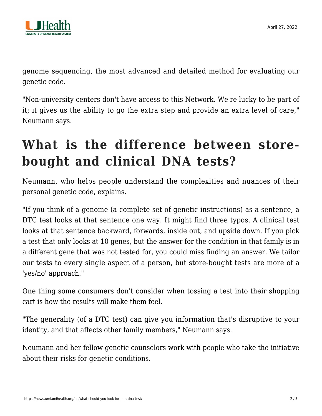

genome sequencing, the most advanced and detailed method for evaluating our genetic code.

"Non-university centers don't have access to this Network. We're lucky to be part of it; it gives us the ability to go the extra step and provide an extra level of care," Neumann says.

## **What is the difference between storebought and clinical DNA tests?**

Neumann, who helps people understand the complexities and nuances of their personal genetic code, explains.

"If you think of a genome (a complete set of genetic instructions) as a sentence, a DTC test looks at that sentence one way. It might find three typos. A clinical test looks at that sentence backward, forwards, inside out, and upside down. If you pick a test that only looks at 10 genes, but the answer for the condition in that family is in a different gene that was not tested for, you could miss finding an answer. We tailor our tests to every single aspect of a person, but store-bought tests are more of a 'yes/no' approach."

One thing some consumers don't consider when tossing a test into their shopping cart is how the results will make them feel.

"The generality (of a DTC test) can give you information that's disruptive to your identity, and that affects other family members," Neumann says.

Neumann and her fellow genetic counselors work with people who take the initiative about their risks for genetic conditions.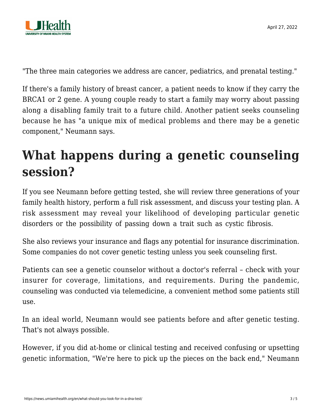

"The three main categories we address are cancer, pediatrics, and prenatal testing."

If there's a family history of breast cancer, a patient needs to know if they carry the BRCA1 or 2 gene. A young couple ready to start a family may worry about passing along a disabling family trait to a future child. Another patient seeks counseling because he has "a unique mix of medical problems and there may be a genetic component," Neumann says.

## **What happens during a genetic counseling session?**

If you see Neumann before getting tested, she will review three generations of your family health history, perform a full risk assessment, and discuss your testing plan. A risk assessment may reveal your likelihood of developing particular genetic disorders or the possibility of passing down a trait such as cystic fibrosis.

She also reviews your insurance and flags any potential for insurance discrimination. Some companies do not cover genetic testing unless you seek counseling first.

Patients can see a genetic counselor without a doctor's referral – check with your insurer for coverage, limitations, and requirements. During the pandemic, counseling was conducted via telemedicine, a convenient method some patients still use.

In an ideal world, Neumann would see patients before and after genetic testing. That's not always possible.

However, if you did at-home or clinical testing and received confusing or upsetting genetic information, "We're here to pick up the pieces on the back end," Neumann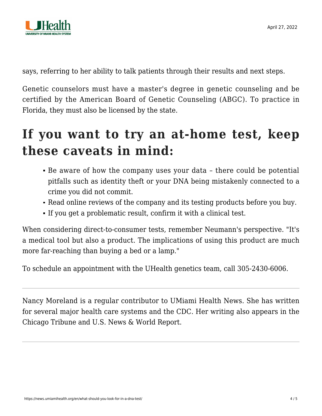

says, referring to her ability to talk patients through their results and next steps.

Genetic counselors must have a master's degree in genetic counseling and be certified by the American Board of Genetic Counseling (ABGC). To practice in Florida, they must also be licensed by the state.

## **If you want to try an at-home test, keep these caveats in mind:**

- Be aware of how the company uses your data there could be potential pitfalls such as identity theft or your DNA being mistakenly connected to a crime you did not commit.
- Read online reviews of the company and its testing products before you buy.
- If you get a problematic result, confirm it with a clinical test.

When considering direct-to-consumer tests, remember Neumann's perspective. "It's a medical tool but also a product. The implications of using this product are much more far-reaching than buying a bed or a lamp."

To schedule an appointment with the UHealth genetics team, call [305-2430-6006.](#page--1-0)

Nancy Moreland is a regular contributor to UMiami Health News. She has written for several major health care systems and the CDC. Her writing also appears in the Chicago Tribune and U.S. News & World Report.